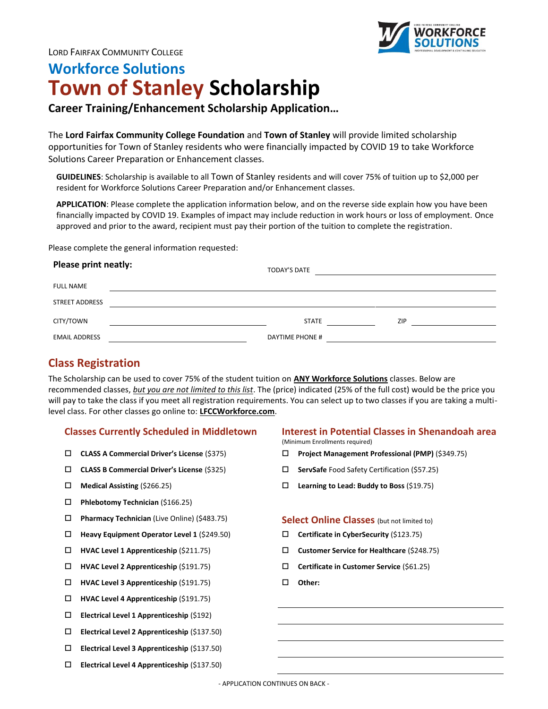

# **Workforce Solutions Town of Stanley Scholarship**

# **Career Training/Enhancement Scholarship Application…**

The **Lord Fairfax Community College Foundation** and **Town of Stanley** will provide limited scholarship opportunities for Town of Stanley residents who were financially impacted by COVID 19 to take Workforce Solutions Career Preparation or Enhancement classes.

**GUIDELINES**: Scholarship is available to all Town of Stanley residents and will cover 75% of tuition up to \$2,000 per resident for Workforce Solutions Career Preparation and/or Enhancement classes.

**APPLICATION**: Please complete the application information below, and on the reverse side explain how you have been financially impacted by COVID 19. Examples of impact may include reduction in work hours or loss of employment. Once approved and prior to the award, recipient must pay their portion of the tuition to complete the registration.

Please complete the general information requested:

| Please print neatly:  |  | <b>TODAY'S DATE</b> |     |
|-----------------------|--|---------------------|-----|
| <b>FULL NAME</b>      |  |                     |     |
| <b>STREET ADDRESS</b> |  |                     |     |
| CITY/TOWN             |  | <b>STATE</b>        | ZIP |
| <b>EMAIL ADDRESS</b>  |  | DAYTIME PHONE #     |     |

## **Class Registration**

The Scholarship can be used to cover 75% of the student tuition on **ANY Workforce Solutions** classes. Below are recommended classes, *but you are not limited to this list*. The (price) indicated (25% of the full cost) would be the price you will pay to take the class if you meet all registration requirements. You can select up to two classes if you are taking a multilevel class. For other classes go online to: **LFCCWorkforce.com**.

- 
- **CLASS B Commercial Driver's License** (\$325) **ServSafe** Food Safety Certification (\$57.25)
- 
- **Phlebotomy Technician** (\$166.25)
- **Pharmacy Technician** (Live Online) (\$483.75) **Select Online Classes** (but not limited to)
- **Heavy Equipment Operator Level 1** (\$249.50) **Certificate in CyberSecurity** (\$123.75)
- 
- 
- **HVAC Level 3 Apprenticeship** (\$191.75) **Other:**
- **HVAC Level 4 Apprenticeship** (\$191.75)
- **Electrical Level 1 Apprenticeship** (\$192)
- **Electrical Level 2 Apprenticeship** (\$137.50)
- **Electrical Level 3 Apprenticeship** (\$137.50)
- **Electrical Level 4 Apprenticeship** (\$137.50)

## **Classes Currently Scheduled in Middletown Interest in Potential Classes in Shenandoah area**

(Minimum Enrollments required)

- **CLASS A Commercial Driver's License** (\$375) **Project Management Professional (PMP)** (\$349.75)
	-
- **Medical Assisting** (\$266.25) **Learning to Lead: Buddy to Boss** (\$19.75)

- 
- **HVAC Level 1 Apprenticeship** (\$211.75) **Customer Service for Healthcare** (\$248.75)
- **HVAC Level 2 Apprenticeship** (\$191.75) **Certificate in Customer Service** (\$61.25)
	-

- APPLICATION CONTINUES ON BACK -